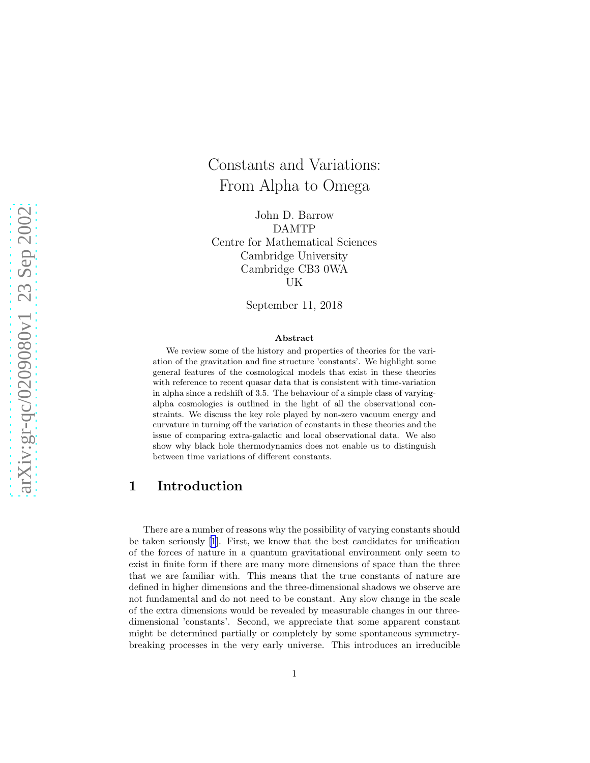# Constants and Variations: From Alpha to Omega

John D. Barrow DAMTP Centre for Mathematical Sciences Cambridge University Cambridge CB3 0WA UK

September 11, 2018

#### Abstract

We review some of the history and properties of theories for the variation of the gravitation and fine structure 'constants'. We highlight some general features of the cosmological models that exist in these theories with reference to recent quasar data that is consistent with time-variation in alpha since a redshift of 3.5. The behaviour of a simple class of varyingalpha cosmologies is outlined in the light of all the observational constraints. We discuss the key role played by non-zero vacuum energy and curvature in turning off the variation of constants in these theories and the issue of comparing extra-galactic and local observational data. We also show why black hole thermodynamics does not enable us to distinguish between time variations of different constants.

### 1 Introduction

There are a number of reasons why the possibility of varying constants should be taken seriously [\[1](#page-14-0)]. First, we know that the best candidates for unification of the forces of nature in a quantum gravitational environment only seem to exist in finite form if there are many more dimensions of space than the three that we are familiar with. This means that the true constants of nature are defined in higher dimensions and the three-dimensional shadows we observe are not fundamental and do not need to be constant. Any slow change in the scale of the extra dimensions would be revealed by measurable changes in our threedimensional 'constants'. Second, we appreciate that some apparent constant might be determined partially or completely by some spontaneous symmetrybreaking processes in the very early universe. This introduces an irreducible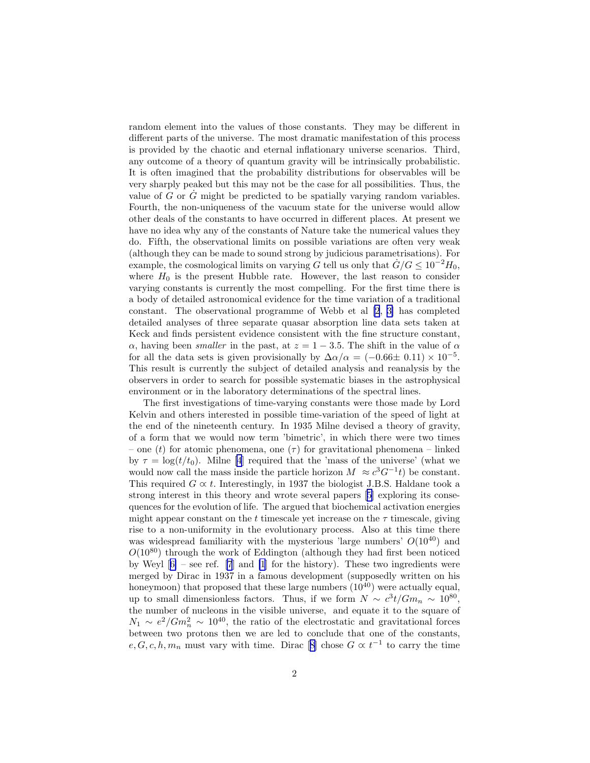random element into the values of those constants. They may be different in different parts of the universe. The most dramatic manifestation of this process is provided by the chaotic and eternal inflationary universe scenarios. Third, any outcome of a theory of quantum gravity will be intrinsically probabilistic. It is often imagined that the probability distributions for observables will be very sharply peaked but this may not be the case for all possibilities. Thus, the value of  $G$  or  $\tilde{G}$  might be predicted to be spatially varying random variables. Fourth, the non-uniqueness of the vacuum state for the universe would allow other deals of the constants to have occurred in different places. At present we have no idea why any of the constants of Nature take the numerical values they do. Fifth, the observational limits on possible variations are often very weak (although they can be made to sound strong by judicious parametrisations). For example, the cosmological limits on varying G tell us only that  $\dot{G}/G \leq 10^{-2}H_0$ , where  $H_0$  is the present Hubble rate. However, the last reason to consider varying constants is currently the most compelling. For the first time there is a body of detailed astronomical evidence for the time variation of a traditional constant. The observational programme of Webb et al [\[2](#page-14-0), [3\]](#page-14-0) has completed detailed analyses of three separate quasar absorption line data sets taken at Keck and finds persistent evidence consistent with the fine structure constant,  $\alpha$ , having been *smaller* in the past, at  $z = 1 - 3.5$ . The shift in the value of  $\alpha$ for all the data sets is given provisionally by  $\Delta \alpha / \alpha = (-0.66 \pm 0.11) \times 10^{-5}$ . This result is currently the subject of detailed analysis and reanalysis by the observers in order to search for possible systematic biases in the astrophysical environment or in the laboratory determinations of the spectral lines.

The first investigations of time-varying constants were those made by Lord Kelvin and others interested in possible time-variation of the speed of light at the end of the nineteenth century. In 1935 Milne devised a theory of gravity, of a form that we would now term 'bimetric', in which there were two times – one (t) for atomic phenomena, one ( $\tau$ ) for gravitational phenomena – linked by  $\tau = \log(t/t_0)$ . Milne [\[4](#page-14-0)] required that the 'mass of the universe' (what we would now call the mass inside the particle horizon  $M \approx c^3 G^{-1} t$  be constant. This required  $G \propto t$ . Interestingly, in 1937 the biologist J.B.S. Haldane took a strong interest in this theory and wrote several papers[[5](#page-14-0)] exploring its consequences for the evolution of life. The argued that biochemical activation energies might appear constant on the t timescale yet increase on the  $\tau$  timescale, giving rise to a non-uniformity in the evolutionary process. Also at this time there was widespread familiarity with the mysterious 'large numbers'  $O(10^{40})$  and  $O(10^{80})$  through the work of Eddington (although they had first been noticed byWeyl  $[6]$  $[6]$  – see ref.  $[7]$  and  $[1]$  for the history). These two ingredients were merged by Dirac in 1937 in a famous development (supposedly written on his honeymoon) that proposed that these large numbers  $(10^{40})$  were actually equal, up to small dimensionless factors. Thus, if we form  $N \sim c^3 t/Gm_n \sim 10^{80}$ , the number of nucleons in the visible universe, and equate it to the square of  $N_1 \sim e^2/Gm_n^2 \sim 10^{40}$ , the ratio of the electrostatic and gravitational forces between two protons then we are led to conclude that one of the constants,  $e, G, c, h, m_n$  $e, G, c, h, m_n$  $e, G, c, h, m_n$  must vary with time. Dirac [[8\]](#page-14-0) chose  $G \propto t^{-1}$  to carry the time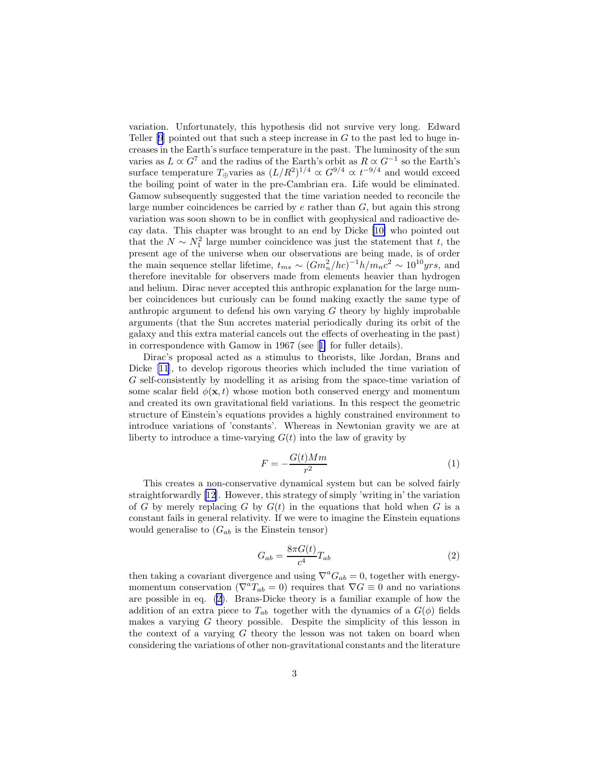variation. Unfortunately, this hypothesis did not survive very long. Edward Teller  $[9]$  pointed out that such a steep increase in G to the past led to huge increases in the Earth's surface temperature in the past. The luminosity of the sun varies as  $L \propto G^7$  and the radius of the Earth's orbit as  $R \propto G^{-1}$  so the Earth's surface temperature  $T_{\oplus}$  varies as  $(L/R^2)^{1/4} \propto G^{9/4} \propto t^{-9/4}$  and would exceed the boiling point of water in the pre-Cambrian era. Life would be eliminated. Gamow subsequently suggested that the time variation needed to reconcile the large number coincidences be carried by  $e$  rather than  $G$ , but again this strong variation was soon shown to be in conflict with geophysical and radioactive decay data. This chapter was brought to an end by Dicke [\[10\]](#page-14-0) who pointed out that the  $N \sim N_1^2$  large number coincidence was just the statement that t, the present age of the universe when our observations are being made, is of order the main sequence stellar lifetime,  $t_{ms} \sim (Gm_n^2/hc)^{-1}h/m_nc^2 \sim 10^{10}yrs$ , and therefore inevitable for observers made from elements heavier than hydrogen and helium. Dirac never accepted this anthropic explanation for the large number coincidences but curiously can be found making exactly the same type of anthropic argument to defend his own varying  $G$  theory by highly improbable arguments (that the Sun accretes material periodically during its orbit of the galaxy and this extra material cancels out the effects of overheating in the past) in correspondence with Gamow in 1967 (see[[1\]](#page-14-0) for fuller details).

Dirac's proposal acted as a stimulus to theorists, like Jordan, Brans and Dicke [\[11\]](#page-14-0), to develop rigorous theories which included the time variation of G self-consistently by modelling it as arising from the space-time variation of some scalar field  $\phi(\mathbf{x}, t)$  whose motion both conserved energy and momentum and created its own gravitational field variations. In this respect the geometric structure of Einstein's equations provides a highly constrained environment to introduce variations of 'constants'. Whereas in Newtonian gravity we are at liberty to introduce a time-varying  $G(t)$  into the law of gravity by

$$
F = -\frac{G(t)Mm}{r^2} \tag{1}
$$

This creates a non-conservative dynamical system but can be solved fairly straightforwardly[[12\]](#page-14-0). However, this strategy of simply 'writing in' the variation of G by merely replacing G by  $G(t)$  in the equations that hold when G is a constant fails in general relativity. If we were to imagine the Einstein equations would generalise to  $(G_{ab}$  is the Einstein tensor)

$$
G_{ab} = \frac{8\pi G(t)}{c^4} T_{ab} \tag{2}
$$

then taking a covariant divergence and using  $\nabla^a G_{ab} = 0$ , together with energymomentum conservation ( $\nabla^a T_{ab} = 0$ ) requires that  $\nabla G \equiv 0$  and no variations are possible in eq. (2). Brans-Dicke theory is a familiar example of how the addition of an extra piece to  $T_{ab}$  together with the dynamics of a  $G(\phi)$  fields makes a varying G theory possible. Despite the simplicity of this lesson in the context of a varying G theory the lesson was not taken on board when considering the variations of other non-gravitational constants and the literature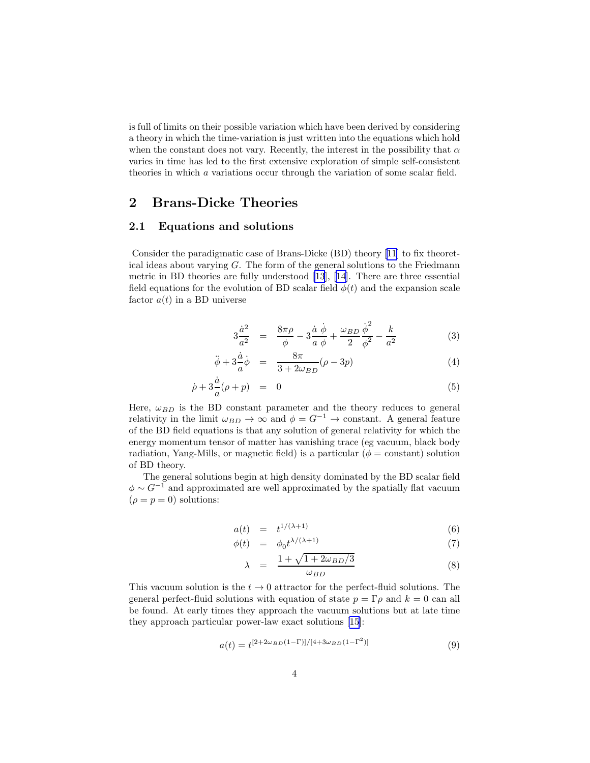is full of limits on their possible variation which have been derived by considering a theory in which the time-variation is just written into the equations which hold when the constant does not vary. Recently, the interest in the possibility that  $\alpha$ varies in time has led to the first extensive exploration of simple self-consistent theories in which a variations occur through the variation of some scalar field.

# 2 Brans-Dicke Theories

#### 2.1 Equations and solutions

Consider the paradigmatic case of Brans-Dicke (BD) theory[[11\]](#page-14-0) to fix theoretical ideas about varying  $G$ . The form of the general solutions to the Friedmann metric in BD theories are fully understood [\[13](#page-14-0)], [\[14](#page-15-0)]. There are three essential field equations for the evolution of BD scalar field  $\phi(t)$  and the expansion scale factor  $a(t)$  in a BD universe

$$
3\frac{\dot{a}^2}{a^2} = \frac{8\pi\rho}{\phi} - 3\frac{\dot{a}\dot{\phi}}{a\phi} + \frac{\omega_{BD}\dot{\phi}^2}{2\phi^2} - \frac{k}{a^2}
$$
 (3)

$$
\ddot{\phi} + 3\frac{\dot{a}}{a}\dot{\phi} = \frac{8\pi}{3 + 2\omega_{BD}}(\rho - 3p) \tag{4}
$$

$$
\dot{\rho} + 3\frac{a}{a}(\rho + p) = 0 \tag{5}
$$

Here,  $\omega_{BD}$  is the BD constant parameter and the theory reduces to general relativity in the limit  $\omega_{BD} \to \infty$  and  $\phi = G^{-1} \to \text{constant}$ . A general feature of the BD field equations is that any solution of general relativity for which the energy momentum tensor of matter has vanishing trace (eg vacuum, black body radiation, Yang-Mills, or magnetic field) is a particular ( $\phi$  = constant) solution of BD theory.

The general solutions begin at high density dominated by the BD scalar field  $\phi \sim G^{-1}$  and approximated are well approximated by the spatially flat vacuum  $(\rho = p = 0)$  solutions:

$$
a(t) = t^{1/(\lambda+1)}
$$
\n
$$
(6)
$$

$$
\phi(t) = \phi_0 t^{\lambda/(\lambda+1)} \tag{7}
$$

$$
\lambda = \frac{1 + \sqrt{1 + 2\omega_{BD}/3}}{\omega_{BD}} \tag{8}
$$

This vacuum solution is the  $t \to 0$  attractor for the perfect-fluid solutions. The general perfect-fluid solutions with equation of state  $p = \Gamma \rho$  and  $k = 0$  can all be found. At early times they approach the vacuum solutions but at late time they approach particular power-law exact solutions[[15\]](#page-15-0):

$$
a(t) = t^{[2+2\omega_{BD}(1-\Gamma)]/[4+3\omega_{BD}(1-\Gamma^2)]}
$$
\n(9)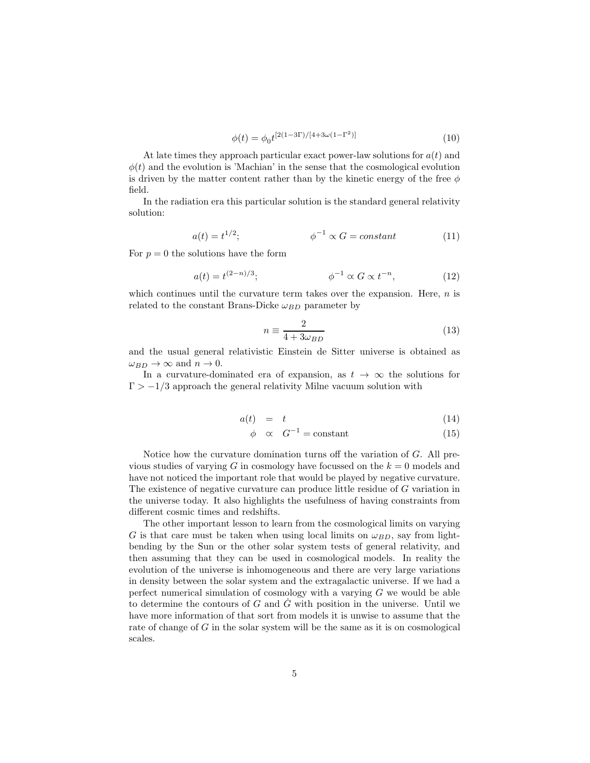$$
\phi(t) = \phi_0 t^{[2(1-3\Gamma)/[4+3\omega(1-\Gamma^2)]}
$$
\n(10)

<span id="page-4-0"></span>At late times they approach particular exact power-law solutions for  $a(t)$  and  $\phi(t)$  and the evolution is 'Machian' in the sense that the cosmological evolution is driven by the matter content rather than by the kinetic energy of the free  $\phi$ field.

In the radiation era this particular solution is the standard general relativity solution:

$$
a(t) = t^{1/2}; \qquad \phi^{-1} \propto G = constant \qquad (11)
$$

For  $p = 0$  the solutions have the form

$$
a(t) = t^{(2-n)/3}; \qquad \phi^{-1} \propto G \propto t^{-n}, \qquad (12)
$$

which continues until the curvature term takes over the expansion. Here,  $n$  is related to the constant Brans-Dicke  $\omega_{BD}$  parameter by

$$
n \equiv \frac{2}{4 + 3\omega_{BD}}\tag{13}
$$

and the usual general relativistic Einstein de Sitter universe is obtained as  $\omega_{BD} \rightarrow \infty$  and  $n \rightarrow 0$ .

In a curvature-dominated era of expansion, as  $t \to \infty$  the solutions for  $\Gamma > -1/3$  approach the general relativity Milne vacuum solution with

$$
a(t) = t \tag{14}
$$

$$
\phi \quad \propto \quad G^{-1} = \text{constant} \tag{15}
$$

Notice how the curvature domination turns off the variation of G. All previous studies of varying G in cosmology have focussed on the  $k = 0$  models and have not noticed the important role that would be played by negative curvature. The existence of negative curvature can produce little residue of G variation in the universe today. It also highlights the usefulness of having constraints from different cosmic times and redshifts.

The other important lesson to learn from the cosmological limits on varying G is that care must be taken when using local limits on  $\omega_{BD}$ , say from lightbending by the Sun or the other solar system tests of general relativity, and then assuming that they can be used in cosmological models. In reality the evolution of the universe is inhomogeneous and there are very large variations in density between the solar system and the extragalactic universe. If we had a perfect numerical simulation of cosmology with a varying  $G$  we would be able to determine the contours of G and  $\dot{G}$  with position in the universe. Until we have more information of that sort from models it is unwise to assume that the rate of change of G in the solar system will be the same as it is on cosmological scales.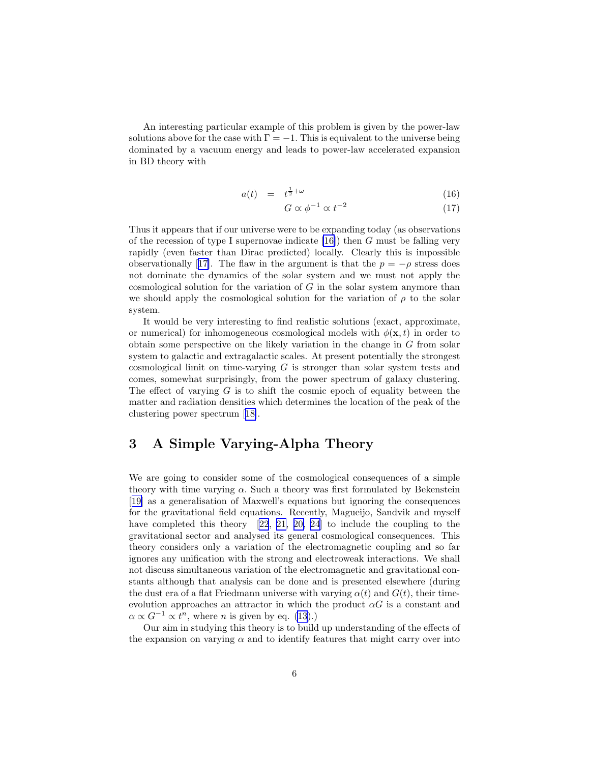An interesting particular example of this problem is given by the power-law solutions above for the case with  $\Gamma = -1$ . This is equivalent to the universe being dominated by a vacuum energy and leads to power-law accelerated expansion in BD theory with

$$
a(t) = t^{\frac{1}{2} + \omega} \tag{16}
$$

$$
G \propto \phi^{-1} \propto t^{-2} \tag{17}
$$

Thus it appears that if our universe were to be expanding today (as observations of the recession of type I supernovae indicate  $[16]$  then G must be falling very rapidly (even faster than Dirac predicted) locally. Clearly this is impossible observationally[[17\]](#page-15-0). The flaw in the argument is that the  $p = -\rho$  stress does not dominate the dynamics of the solar system and we must not apply the cosmological solution for the variation of G in the solar system anymore than we should apply the cosmological solution for the variation of  $\rho$  to the solar system.

It would be very interesting to find realistic solutions (exact, approximate, or numerical) for inhomogeneous cosmological models with  $\phi(\mathbf{x}, t)$  in order to obtain some perspective on the likely variation in the change in G from solar system to galactic and extragalactic scales. At present potentially the strongest cosmological limit on time-varying  $G$  is stronger than solar system tests and comes, somewhat surprisingly, from the power spectrum of galaxy clustering. The effect of varying  $G$  is to shift the cosmic epoch of equality between the matter and radiation densities which determines the location of the peak of the clustering power spectrum[[18\]](#page-15-0).

# 3 A Simple Varying-Alpha Theory

We are going to consider some of the cosmological consequences of a simple theory with time varying  $\alpha$ . Such a theory was first formulated by Bekenstein [[19\]](#page-15-0) as a generalisation of Maxwell's equations but ignoring the consequences for the gravitational field equations. Recently, Magueijo, Sandvik and myself have completed this theory [\[22](#page-15-0), [21, 20, 24](#page-15-0)] to include the coupling to the gravitational sector and analysed its general cosmological consequences. This theory considers only a variation of the electromagnetic coupling and so far ignores any unification with the strong and electroweak interactions. We shall not discuss simultaneous variation of the electromagnetic and gravitational constants although that analysis can be done and is presented elsewhere (during the dust era of a flat Friedmann universe with varying  $\alpha(t)$  and  $G(t)$ , their timeevolution approaches an attractor in which the product  $\alpha G$  is a constant and  $\alpha \propto G^{-1} \propto t^n$ , where *n* is given by eq. [\(13](#page-4-0)).)

Our aim in studying this theory is to build up understanding of the effects of the expansion on varying  $\alpha$  and to identify features that might carry over into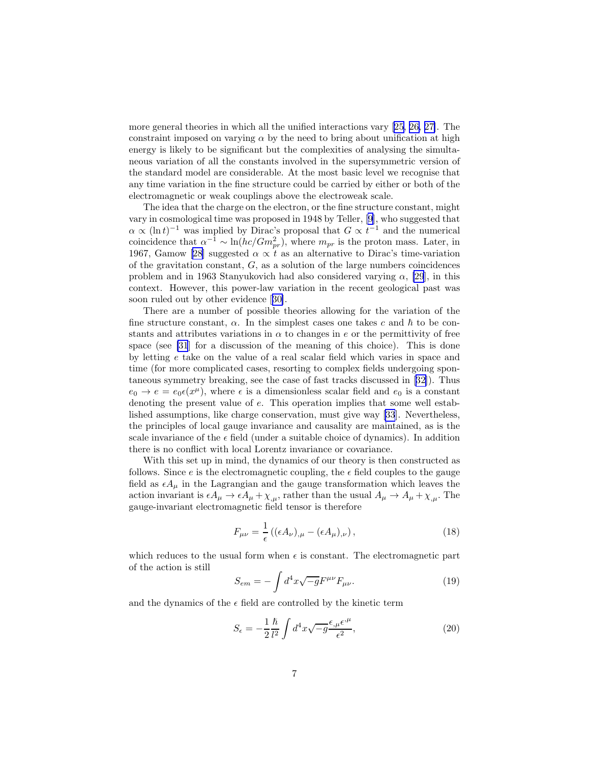more general theories in which all the unified interactions vary [\[25](#page-15-0), [26, 27\]](#page-15-0). The constraint imposed on varying  $\alpha$  by the need to bring about unification at high energy is likely to be significant but the complexities of analysing the simultaneous variation of all the constants involved in the supersymmetric version of the standard model are considerable. At the most basic level we recognise that any time variation in the fine structure could be carried by either or both of the electromagnetic or weak couplings above the electroweak scale.

The idea that the charge on the electron, or the fine structure constant, might vary in cosmological time was proposed in 1948 by Teller, [\[9](#page-14-0)], who suggested that  $\alpha \propto (\ln t)^{-1}$  was implied by Dirac's proposal that  $G \propto t^{-1}$  and the numerical coincidence that  $\alpha^{-1} \sim \ln(hc/Gm_{pr}^2)$ , where  $m_{pr}$  is the proton mass. Later, in 1967, Gamow [\[28](#page-15-0)] suggested  $\alpha \propto t$  as an alternative to Dirac's time-variation of the gravitation constant,  $G$ , as a solution of the large numbers coincidences problem and in 1963 Stanyukovich had also considered varying  $\alpha$ , [\[29](#page-15-0)], in this context. However, this power-law variation in the recent geological past was soon ruled out by other evidence[[30\]](#page-15-0).

There are a number of possible theories allowing for the variation of the fine structure constant,  $\alpha$ . In the simplest cases one takes c and  $\hbar$  to be constants and attributes variations in  $\alpha$  to changes in e or the permittivity of free space (see [\[31](#page-15-0)] for a discussion of the meaning of this choice). This is done by letting e take on the value of a real scalar field which varies in space and time (for more complicated cases, resorting to complex fields undergoing spontaneous symmetry breaking, see the case of fast tracks discussed in[[32\]](#page-15-0)). Thus  $e_0 \rightarrow e = e_0 \epsilon(x^{\mu})$ , where  $\epsilon$  is a dimensionless scalar field and  $e_0$  is a constant denoting the present value of e. This operation implies that some well established assumptions, like charge conservation, must give way [\[33](#page-16-0)]. Nevertheless, the principles of local gauge invariance and causality are maintained, as is the scale invariance of the  $\epsilon$  field (under a suitable choice of dynamics). In addition there is no conflict with local Lorentz invariance or covariance.

With this set up in mind, the dynamics of our theory is then constructed as follows. Since  $e$  is the electromagnetic coupling, the  $\epsilon$  field couples to the gauge field as  $\epsilon A_\mu$  in the Lagrangian and the gauge transformation which leaves the action invariant is  $\epsilon A_{\mu} \to \epsilon A_{\mu} + \chi_{,\mu}$ , rather than the usual  $A_{\mu} \to A_{\mu} + \chi_{,\mu}$ . The gauge-invariant electromagnetic field tensor is therefore

$$
F_{\mu\nu} = \frac{1}{\epsilon} \left( (\epsilon A_{\nu})_{,\mu} - (\epsilon A_{\mu})_{,\nu} \right), \tag{18}
$$

which reduces to the usual form when  $\epsilon$  is constant. The electromagnetic part of the action is still

$$
S_{em} = -\int d^4x \sqrt{-g} F^{\mu\nu} F_{\mu\nu}.
$$
 (19)

and the dynamics of the  $\epsilon$  field are controlled by the kinetic term

$$
S_{\epsilon} = -\frac{1}{2} \frac{\hbar}{l^2} \int d^4x \sqrt{-g} \frac{\epsilon_{,\mu} \epsilon^{,\mu}}{\epsilon^2},\tag{20}
$$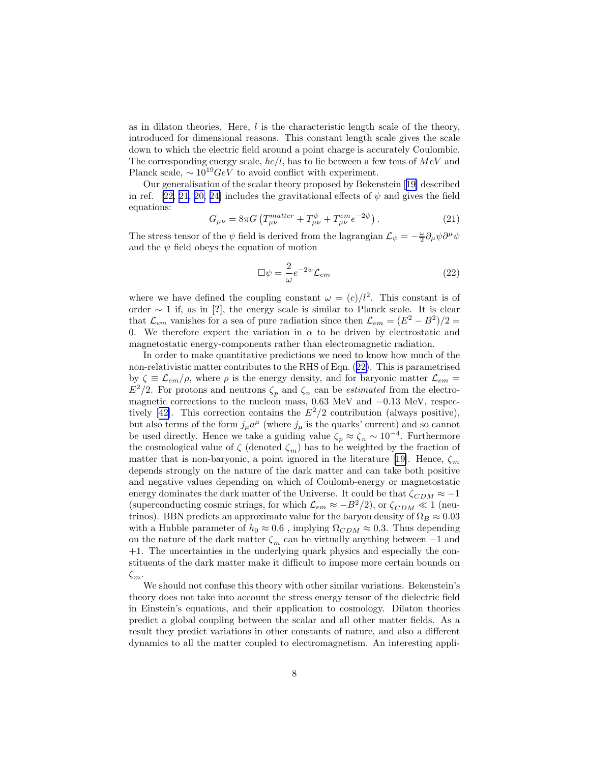<span id="page-7-0"></span>as in dilaton theories. Here,  $l$  is the characteristic length scale of the theory, introduced for dimensional reasons. This constant length scale gives the scale down to which the electric field around a point charge is accurately Coulombic. The corresponding energy scale,  $\hbar c/l$ , has to lie between a few tens of  $MeV$  and Planck scale,  $\sim 10^{19} GeV$  to avoid conflict with experiment.

Our generalisation of the scalar theory proposed by Bekenstein[[19\]](#page-15-0) described inref. [[22, 21, 20, 24\]](#page-15-0) includes the gravitational effects of  $\psi$  and gives the field equations:

$$
G_{\mu\nu} = 8\pi G \left( T_{\mu\nu}^{matter} + T_{\mu\nu}^{\psi} + T_{\mu\nu}^{em} e^{-2\psi} \right). \tag{21}
$$

The stress tensor of the  $\psi$  field is derived from the lagrangian  $\mathcal{L}_{\psi} = -\frac{\omega}{2} \partial_{\mu} \psi \partial^{\mu} \psi$ and the  $\psi$  field obeys the equation of motion

$$
\Box \psi = \frac{2}{\omega} e^{-2\psi} \mathcal{L}_{em} \tag{22}
$$

where we have defined the coupling constant  $\omega = (c)/l^2$ . This constant is of order  $\sim 1$  if, as in [?], the energy scale is similar to Planck scale. It is clear that  $\mathcal{L}_{em}$  vanishes for a sea of pure radiation since then  $\mathcal{L}_{em} = (E^2 - B^2)/2 =$ 0. We therefore expect the variation in  $\alpha$  to be driven by electrostatic and magnetostatic energy-components rather than electromagnetic radiation.

In order to make quantitative predictions we need to know how much of the non-relativistic matter contributes to the RHS of Eqn. (22). This is parametrised by  $\zeta \equiv \mathcal{L}_{em}/\rho$ , where  $\rho$  is the energy density, and for baryonic matter  $\mathcal{L}_{em}$  =  $E^2/2$ . For protons and neutrons  $\zeta_p$  and  $\zeta_n$  can be *estimated* from the electromagnetic corrections to the nucleon mass, 0.63 MeV and −0.13 MeV, respec-tively[[42\]](#page-16-0). This correction contains the  $E^2/2$  contribution (always positive), but also terms of the form  $j_{\mu}a^{\mu}$  (where  $j_{\mu}$  is the quarks' current) and so cannot be used directly. Hence we take a guiding value  $\zeta_p \approx \zeta_n \sim 10^{-4}$ . Furthermore the cosmological value of  $\zeta$  (denoted  $\zeta_m$ ) has to be weighted by the fraction of matterthat is non-baryonic, a point ignored in the literature [[19\]](#page-15-0). Hence,  $\zeta_m$ depends strongly on the nature of the dark matter and can take both positive and negative values depending on which of Coulomb-energy or magnetostatic energy dominates the dark matter of the Universe. It could be that  $\zeta_{CDM} \approx -1$ (superconducting cosmic strings, for which  $\mathcal{L}_{em} \approx -B^2/2$ ), or  $\zeta_{CDM} \ll 1$  (neutrinos). BBN predicts an approximate value for the baryon density of  $\Omega_B\approx 0.03$ with a Hubble parameter of  $h_0 \approx 0.6$ , implying  $\Omega_{CDM} \approx 0.3$ . Thus depending on the nature of the dark matter  $\zeta_m$  can be virtually anything between  $-1$  and +1. The uncertainties in the underlying quark physics and especially the constituents of the dark matter make it difficult to impose more certain bounds on  $\zeta_m$ .

We should not confuse this theory with other similar variations. Bekenstein's theory does not take into account the stress energy tensor of the dielectric field in Einstein's equations, and their application to cosmology. Dilaton theories predict a global coupling between the scalar and all other matter fields. As a result they predict variations in other constants of nature, and also a different dynamics to all the matter coupled to electromagnetism. An interesting appli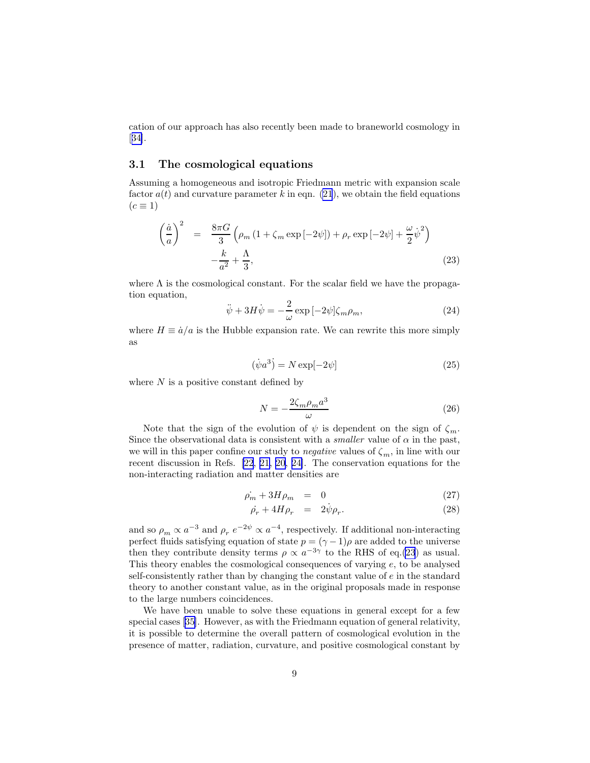<span id="page-8-0"></span>cation of our approach has also recently been made to braneworld cosmology in [[34\]](#page-16-0).

#### 3.1 The cosmological equations

Assuming a homogeneous and isotropic Friedmann metric with expansion scale factor  $a(t)$  and curvature parameter k in eqn. [\(21](#page-7-0)), we obtain the field equations  $(c \equiv 1)$ 

$$
\left(\frac{\dot{a}}{a}\right)^2 = \frac{8\pi G}{3} \left(\rho_m \left(1 + \zeta_m \exp\left[-2\psi\right]\right) + \rho_r \exp\left[-2\psi\right] + \frac{\omega}{2} \dot{\psi}^2\right) \n- \frac{k}{a^2} + \frac{\Lambda}{3},
$$
\n(23)

where  $\Lambda$  is the cosmological constant. For the scalar field we have the propagation equation,

$$
\ddot{\psi} + 3H\dot{\psi} = -\frac{2}{\omega}\exp[-2\psi]\zeta_m\rho_m,\tag{24}
$$

where  $H \equiv \dot{a}/a$  is the Hubble expansion rate. We can rewrite this more simply as

$$
(\dot{\psi}a^3) = N \exp[-2\psi] \tag{25}
$$

where  $N$  is a positive constant defined by

$$
N = -\frac{2\zeta_m \rho_m a^3}{\omega} \tag{26}
$$

Note that the sign of the evolution of  $\psi$  is dependent on the sign of  $\zeta_m$ . Since the observational data is consistent with a *smaller* value of  $\alpha$  in the past, we will in this paper confine our study to *negative* values of  $\zeta_m$ , in line with our recent discussion in Refs. [\[22](#page-15-0), [21, 20](#page-15-0), [24\]](#page-15-0). The conservation equations for the non-interacting radiation and matter densities are

$$
\dot{\rho_m} + 3H\rho_m = 0 \tag{27}
$$

$$
\dot{\rho_r} + 4H\rho_r = 2\dot{\psi}\rho_r. \tag{28}
$$

and so  $\rho_m \propto a^{-3}$  and  $\rho_r e^{-2\psi} \propto a^{-4}$ , respectively. If additional non-interacting perfect fluids satisfying equation of state  $p = (\gamma - 1)\rho$  are added to the universe then they contribute density terms  $\rho \propto a^{-3\gamma}$  to the RHS of eq.(23) as usual. This theory enables the cosmological consequences of varying e, to be analysed self-consistently rather than by changing the constant value of e in the standard theory to another constant value, as in the original proposals made in response to the large numbers coincidences.

We have been unable to solve these equations in general except for a few special cases [\[35](#page-16-0)]. However, as with the Friedmann equation of general relativity, it is possible to determine the overall pattern of cosmological evolution in the presence of matter, radiation, curvature, and positive cosmological constant by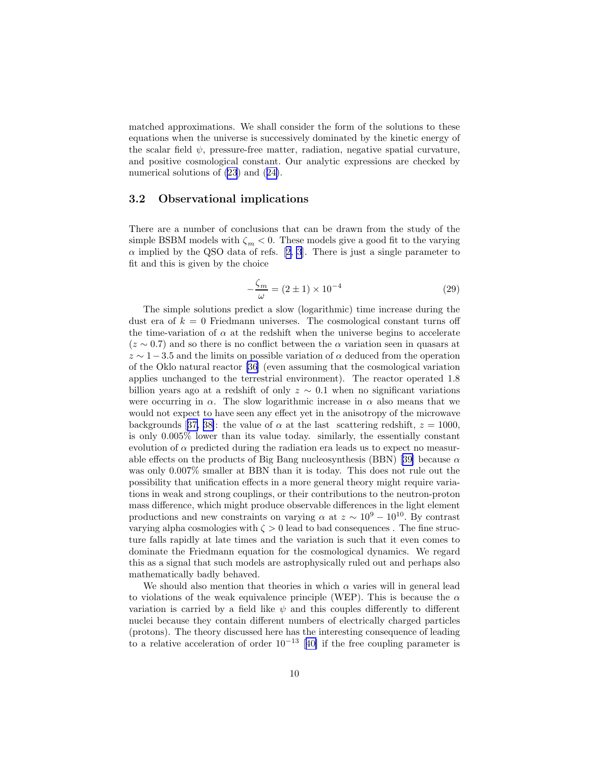<span id="page-9-0"></span>matched approximations. We shall consider the form of the solutions to these equations when the universe is successively dominated by the kinetic energy of the scalar field  $\psi$ , pressure-free matter, radiation, negative spatial curvature, and positive cosmological constant. Our analytic expressions are checked by numericalsolutions of  $(23)$  and  $(24)$  $(24)$ .

#### 3.2 Observational implications

There are a number of conclusions that can be drawn from the study of the simple BSBM models with  $\zeta_m < 0$ . These models give a good fit to the varying  $\alpha$ implied by the QSO data of refs. [[2, 3](#page-14-0)]. There is just a single parameter to fit and this is given by the choice

$$
-\frac{\zeta_m}{\omega} = (2 \pm 1) \times 10^{-4}
$$
 (29)

The simple solutions predict a slow (logarithmic) time increase during the dust era of  $k = 0$  Friedmann universes. The cosmological constant turns off the time-variation of  $\alpha$  at the redshift when the universe begins to accelerate  $(z \sim 0.7)$  and so there is no conflict between the  $\alpha$  variation seen in quasars at  $z \sim 1-3.5$  and the limits on possible variation of  $\alpha$  deduced from the operation of the Oklo natural reactor [\[36](#page-16-0)] (even assuming that the cosmological variation applies unchanged to the terrestrial environment). The reactor operated 1.8 billion years ago at a redshift of only  $z \sim 0.1$  when no significant variations were occurring in  $\alpha$ . The slow logarithmic increase in  $\alpha$  also means that we would not expect to have seen any effect yet in the anisotropy of the microwave backgrounds[[37, 38\]](#page-16-0): the value of  $\alpha$  at the last scattering redshift,  $z = 1000$ , is only 0.005% lower than its value today. similarly, the essentially constant evolution of  $\alpha$  predicted during the radiation era leads us to expect no measur-able effects on the products of Big Bang nucleosynthesis (BBN) [\[39](#page-16-0)] because  $\alpha$ was only 0.007% smaller at BBN than it is today. This does not rule out the possibility that unification effects in a more general theory might require variations in weak and strong couplings, or their contributions to the neutron-proton mass difference, which might produce observable differences in the light element productions and new constraints on varying  $\alpha$  at  $z \sim 10^9 - 10^{10}$ . By contrast varying alpha cosmologies with  $\zeta > 0$  lead to bad consequences . The fine structure falls rapidly at late times and the variation is such that it even comes to dominate the Friedmann equation for the cosmological dynamics. We regard this as a signal that such models are astrophysically ruled out and perhaps also mathematically badly behaved.

We should also mention that theories in which  $\alpha$  varies will in general lead to violations of the weak equivalence principle (WEP). This is because the  $\alpha$ variation is carried by a field like  $\psi$  and this couples differently to different nuclei because they contain different numbers of electrically charged particles (protons). The theory discussed here has the interesting consequence of leading to a relative acceleration of order  $10^{-13}$  [[40\]](#page-16-0) if the free coupling parameter is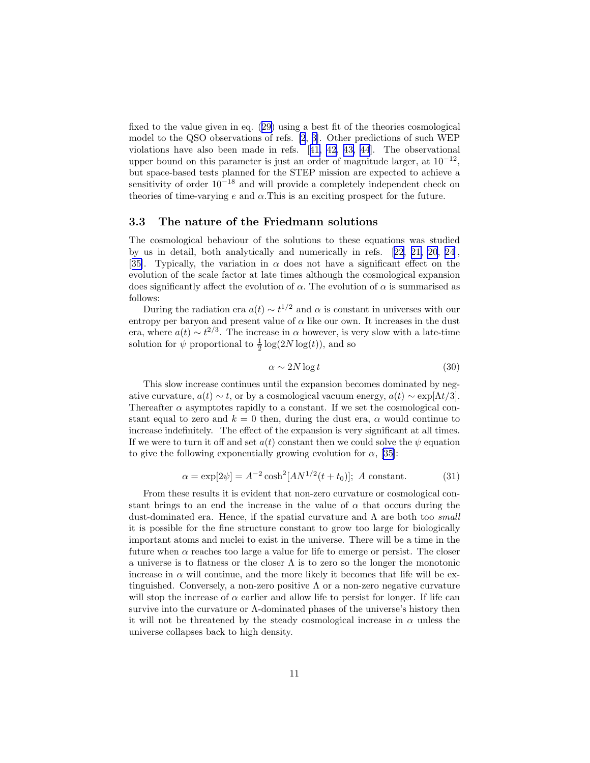fixed to the value given in eq.([29\)](#page-9-0) using a best fit of the theories cosmological model to the QSO observations of refs. [\[2](#page-14-0), [3\]](#page-14-0). Other predictions of such WEP violations have also been made in refs.[[41, 42](#page-16-0), [43, 44\]](#page-16-0). The observational upper bound on this parameter is just an order of magnitude larger, at  $10^{-12}$ , but space-based tests planned for the STEP mission are expected to achieve a sensitivity of order  $10^{-18}$  and will provide a completely independent check on theories of time-varying  $e$  and  $\alpha$ . This is an exciting prospect for the future.

#### 3.3 The nature of the Friedmann solutions

The cosmological behaviour of the solutions to these equations was studied by us in detail, both analytically and numerically in refs. [\[22](#page-15-0), [21, 20](#page-15-0), [24\]](#page-15-0), [[35\]](#page-16-0). Typically, the variation in  $\alpha$  does not have a significant effect on the evolution of the scale factor at late times although the cosmological expansion does significantly affect the evolution of  $\alpha$ . The evolution of  $\alpha$  is summarised as follows:

During the radiation era  $a(t) \sim t^{1/2}$  and  $\alpha$  is constant in universes with our entropy per baryon and present value of  $\alpha$  like our own. It increases in the dust era, where  $a(t) \sim t^{2/3}$ . The increase in  $\alpha$  however, is very slow with a late-time solution for  $\psi$  proportional to  $\frac{1}{2} \log(2N \log(t))$ , and so

$$
\alpha \sim 2N \log t \tag{30}
$$

This slow increase continues until the expansion becomes dominated by negative curvature,  $a(t) \sim t$ , or by a cosmological vacuum energy,  $a(t) \sim \exp[\Lambda t/3]$ . Thereafter  $\alpha$  asymptotes rapidly to a constant. If we set the cosmological constant equal to zero and  $k = 0$  then, during the dust era,  $\alpha$  would continue to increase indefinitely. The effect of the expansion is very significant at all times. If we were to turn it off and set  $a(t)$  constant then we could solve the  $\psi$  equation to give the following exponentially growing evolution for  $\alpha$ , [\[35](#page-16-0)]:

$$
\alpha = \exp[2\psi] = A^{-2} \cosh^2[AN^{1/2}(t+t_0)]; \ A \ constant. \tag{31}
$$

From these results it is evident that non-zero curvature or cosmological constant brings to an end the increase in the value of  $\alpha$  that occurs during the dust-dominated era. Hence, if the spatial curvature and  $\Lambda$  are both too  $small$ it is possible for the fine structure constant to grow too large for biologically important atoms and nuclei to exist in the universe. There will be a time in the future when  $\alpha$  reaches too large a value for life to emerge or persist. The closer a universe is to flatness or the closer  $\Lambda$  is to zero so the longer the monotonic increase in  $\alpha$  will continue, and the more likely it becomes that life will be extinguished. Conversely, a non-zero positive  $\Lambda$  or a non-zero negative curvature will stop the increase of  $\alpha$  earlier and allow life to persist for longer. If life can survive into the curvature or  $\Lambda$ -dominated phases of the universe's history then it will not be threatened by the steady cosmological increase in  $\alpha$  unless the universe collapses back to high density.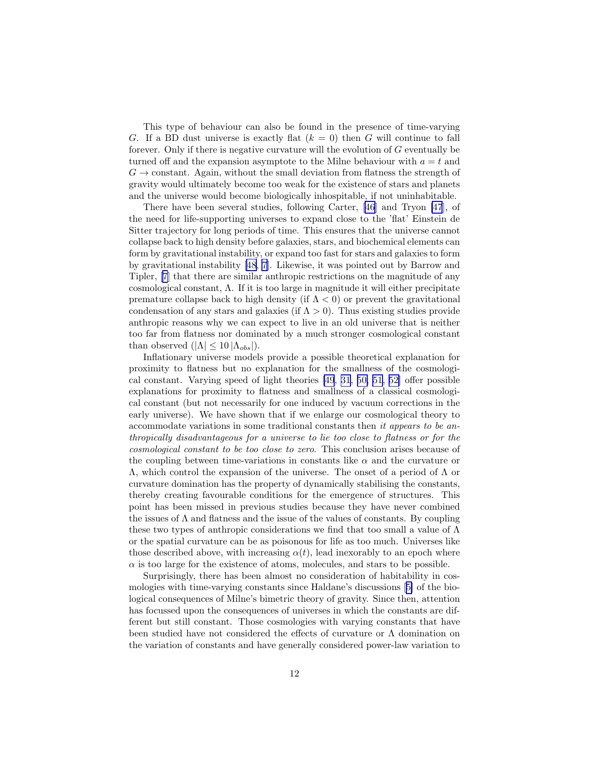This type of behaviour can also be found in the presence of time-varying G. If a BD dust universe is exactly flat  $(k = 0)$  then G will continue to fall forever. Only if there is negative curvature will the evolution of G eventually be turned off and the expansion asymptote to the Milne behaviour with  $a = t$  and  $G \rightarrow$  constant. Again, without the small deviation from flatness the strength of gravity would ultimately become too weak for the existence of stars and planets and the universe would become biologically inhospitable, if not uninhabitable.

There have been several studies, following Carter, [\[46](#page-16-0)] and Tryon [\[47](#page-16-0)], of the need for life-supporting universes to expand close to the 'flat' Einstein de Sitter trajectory for long periods of time. This ensures that the universe cannot collapse back to high density before galaxies, stars, and biochemical elements can form by gravitational instability, or expand too fast for stars and galaxies to form by gravitational instability [\[48](#page-16-0), [7](#page-14-0)]. Likewise, it was pointed out by Barrow and Tipler, [\[7\]](#page-14-0) that there are similar anthropic restrictions on the magnitude of any cosmological constant,  $\Lambda$ . If it is too large in magnitude it will either precipitate premature collapse back to high density (if  $\Lambda < 0$ ) or prevent the gravitational condensation of any stars and galaxies (if  $\Lambda > 0$ ). Thus existing studies provide anthropic reasons why we can expect to live in an old universe that is neither too far from flatness nor dominated by a much stronger cosmological constant than observed  $(|\Lambda| \leq 10 |\Lambda_{obs}|)$ .

Inflationary universe models provide a possible theoretical explanation for proximity to flatness but no explanation for the smallness of the cosmological constant. Varying speed of light theories [\[49](#page-16-0), [31,](#page-15-0) [50, 51](#page-16-0), [52\]](#page-16-0) offer possible explanations for proximity to flatness and smallness of a classical cosmological constant (but not necessarily for one induced by vacuum corrections in the early universe). We have shown that if we enlarge our cosmological theory to accommodate variations in some traditional constants then it appears to be anthropically disadvantageous for a universe to lie too close to flatness or for the cosmological constant to be too close to zero. This conclusion arises because of the coupling between time-variations in constants like  $\alpha$  and the curvature or Λ, which control the expansion of the universe. The onset of a period of Λ or curvature domination has the property of dynamically stabilising the constants, thereby creating favourable conditions for the emergence of structures. This point has been missed in previous studies because they have never combined the issues of  $\Lambda$  and flatness and the issue of the values of constants. By coupling these two types of anthropic considerations we find that too small a value of Λ or the spatial curvature can be as poisonous for life as too much. Universes like those described above, with increasing  $\alpha(t)$ , lead inexorably to an epoch where  $\alpha$  is too large for the existence of atoms, molecules, and stars to be possible.

Surprisingly, there has been almost no consideration of habitability in cosmologies with time-varying constants since Haldane's discussions[[5\]](#page-14-0) of the biological consequences of Milne's bimetric theory of gravity. Since then, attention has focussed upon the consequences of universes in which the constants are different but still constant. Those cosmologies with varying constants that have been studied have not considered the effects of curvature or  $\Lambda$  domination on the variation of constants and have generally considered power-law variation to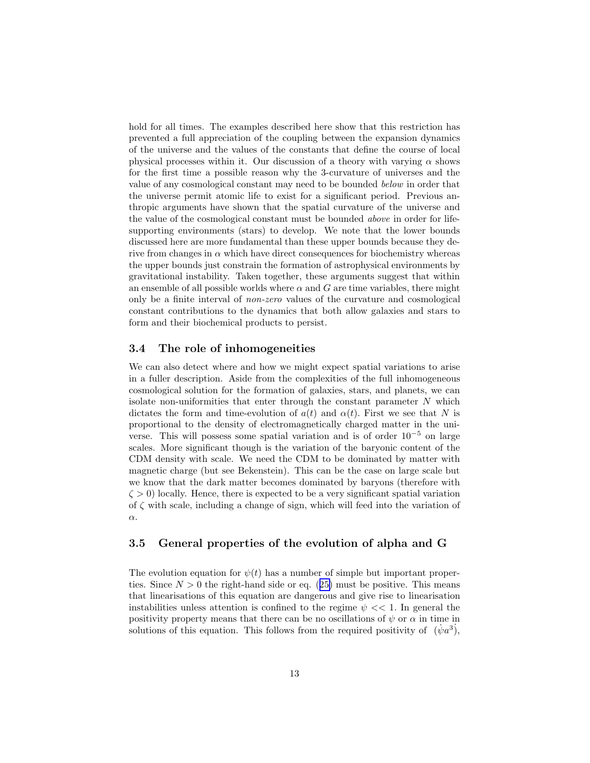hold for all times. The examples described here show that this restriction has prevented a full appreciation of the coupling between the expansion dynamics of the universe and the values of the constants that define the course of local physical processes within it. Our discussion of a theory with varying  $\alpha$  shows for the first time a possible reason why the 3-curvature of universes and the value of any cosmological constant may need to be bounded below in order that the universe permit atomic life to exist for a significant period. Previous anthropic arguments have shown that the spatial curvature of the universe and the value of the cosmological constant must be bounded above in order for lifesupporting environments (stars) to develop. We note that the lower bounds discussed here are more fundamental than these upper bounds because they derive from changes in  $\alpha$  which have direct consequences for biochemistry whereas the upper bounds just constrain the formation of astrophysical environments by gravitational instability. Taken together, these arguments suggest that within an ensemble of all possible worlds where  $\alpha$  and G are time variables, there might only be a finite interval of non-zero values of the curvature and cosmological constant contributions to the dynamics that both allow galaxies and stars to form and their biochemical products to persist.

#### 3.4 The role of inhomogeneities

We can also detect where and how we might expect spatial variations to arise in a fuller description. Aside from the complexities of the full inhomogeneous cosmological solution for the formation of galaxies, stars, and planets, we can isolate non-uniformities that enter through the constant parameter  $N$  which dictates the form and time-evolution of  $a(t)$  and  $\alpha(t)$ . First we see that N is proportional to the density of electromagnetically charged matter in the universe. This will possess some spatial variation and is of order  $10^{-5}$  on large scales. More significant though is the variation of the baryonic content of the CDM density with scale. We need the CDM to be dominated by matter with magnetic charge (but see Bekenstein). This can be the case on large scale but we know that the dark matter becomes dominated by baryons (therefore with  $\zeta > 0$ ) locally. Hence, there is expected to be a very significant spatial variation of  $\zeta$  with scale, including a change of sign, which will feed into the variation of α.

#### 3.5 General properties of the evolution of alpha and G

The evolution equation for  $\psi(t)$  has a number of simple but important proper-ties.Since  $N > 0$  the right-hand side or eq. ([25\)](#page-8-0) must be positive. This means that linearisations of this equation are dangerous and give rise to linearisation instabilities unless attention is confined to the regime  $\psi \ll 1$ . In general the positivity property means that there can be no oscillations of  $\psi$  or  $\alpha$  in time in solutions of this equation. This follows from the required positivity of  $(\dot{\psi}a^3)$ ,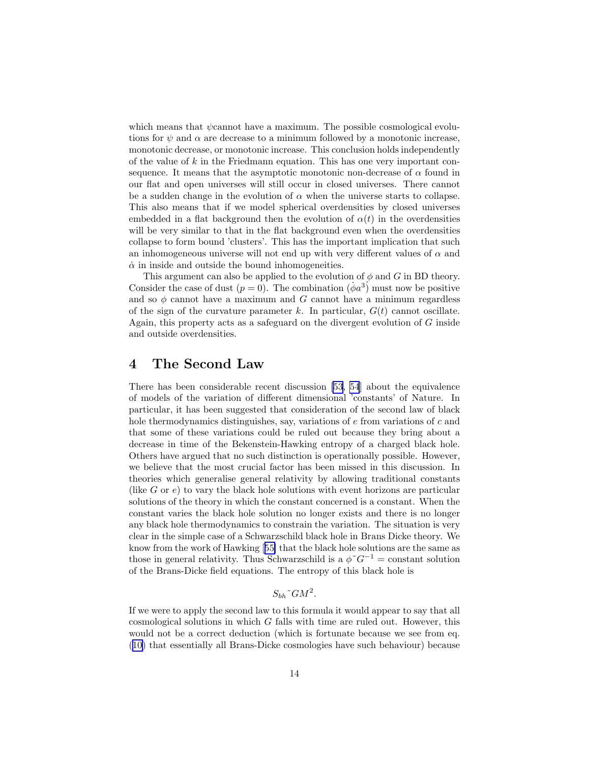which means that  $\psi$ cannot have a maximum. The possible cosmological evolutions for  $\psi$  and  $\alpha$  are decrease to a minimum followed by a monotonic increase, monotonic decrease, or monotonic increase. This conclusion holds independently of the value of  $k$  in the Friedmann equation. This has one very important consequence. It means that the asymptotic monotonic non-decrease of  $\alpha$  found in our flat and open universes will still occur in closed universes. There cannot be a sudden change in the evolution of  $\alpha$  when the universe starts to collapse. This also means that if we model spherical overdensities by closed universes embedded in a flat background then the evolution of  $\alpha(t)$  in the overdensities will be very similar to that in the flat background even when the overdensities collapse to form bound 'clusters'. This has the important implication that such an inhomogeneous universe will not end up with very different values of  $\alpha$  and  $\dot{\alpha}$  in inside and outside the bound inhomogeneities.

This argument can also be applied to the evolution of  $\phi$  and G in BD theory. Consider the case of dust  $(p = 0)$ . The combination  $(\dot{\phi}a^3)$  must now be positive and so  $\phi$  cannot have a maximum and G cannot have a minimum regardless of the sign of the curvature parameter k. In particular,  $G(t)$  cannot oscillate. Again, this property acts as a safeguard on the divergent evolution of G inside and outside overdensities.

### 4 The Second Law

There has been considerable recent discussion [\[53](#page-16-0), [54](#page-16-0)] about the equivalence of models of the variation of different dimensional 'constants' of Nature. In particular, it has been suggested that consideration of the second law of black hole thermodynamics distinguishes, say, variations of e from variations of c and that some of these variations could be ruled out because they bring about a decrease in time of the Bekenstein-Hawking entropy of a charged black hole. Others have argued that no such distinction is operationally possible. However, we believe that the most crucial factor has been missed in this discussion. In theories which generalise general relativity by allowing traditional constants (like G or  $e$ ) to vary the black hole solutions with event horizons are particular solutions of the theory in which the constant concerned is a constant. When the constant varies the black hole solution no longer exists and there is no longer any black hole thermodynamics to constrain the variation. The situation is very clear in the simple case of a Schwarzschild black hole in Brans Dicke theory. We know from the work of Hawking[[55\]](#page-16-0) that the black hole solutions are the same as those in general relativity. Thus Schwarzschild is a  $\phi^{\sim} G^{-1} = \text{constant}$  solution of the Brans-Dicke field equations. The entropy of this black hole is

### $S_{bh}$ ~ $GM^2$ .

If we were to apply the second law to this formula it would appear to say that all cosmological solutions in which G falls with time are ruled out. However, this would not be a correct deduction (which is fortunate because we see from eq. ([10\)](#page-4-0) that essentially all Brans-Dicke cosmologies have such behaviour) because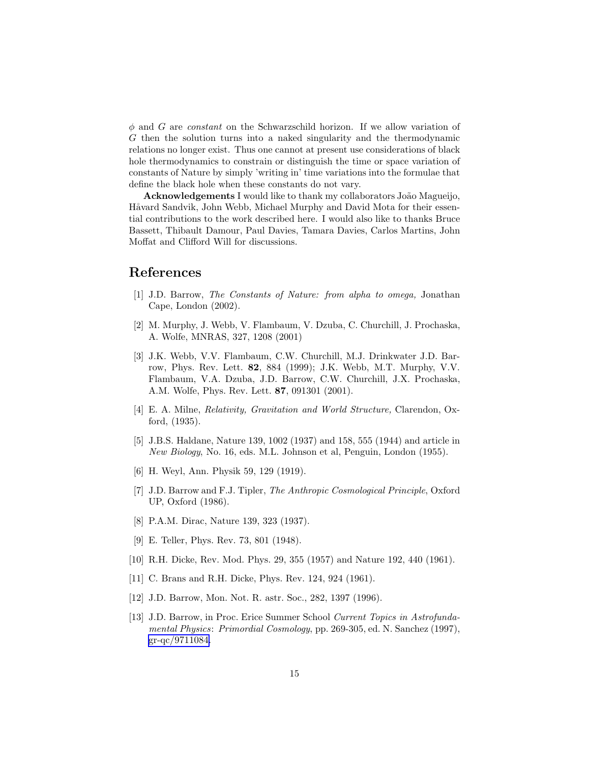<span id="page-14-0"></span> $\phi$  and G are *constant* on the Schwarzschild horizon. If we allow variation of G then the solution turns into a naked singularity and the thermodynamic relations no longer exist. Thus one cannot at present use considerations of black hole thermodynamics to constrain or distinguish the time or space variation of constants of Nature by simply 'writing in' time variations into the formulae that define the black hole when these constants do not vary.

Acknowledgements I would like to thank my collaborators João Magueijo, Håvard Sandvik, John Webb, Michael Murphy and David Mota for their essential contributions to the work described here. I would also like to thanks Bruce Bassett, Thibault Damour, Paul Davies, Tamara Davies, Carlos Martins, John Moffat and Clifford Will for discussions.

## References

- [1] J.D. Barrow, The Constants of Nature: from alpha to omega, Jonathan Cape, London (2002).
- [2] M. Murphy, J. Webb, V. Flambaum, V. Dzuba, C. Churchill, J. Prochaska, A. Wolfe, MNRAS, 327, 1208 (2001)
- [3] J.K. Webb, V.V. Flambaum, C.W. Churchill, M.J. Drinkwater J.D. Barrow, Phys. Rev. Lett. 82, 884 (1999); J.K. Webb, M.T. Murphy, V.V. Flambaum, V.A. Dzuba, J.D. Barrow, C.W. Churchill, J.X. Prochaska, A.M. Wolfe, Phys. Rev. Lett. 87, 091301 (2001).
- [4] E. A. Milne, Relativity, Gravitation and World Structure, Clarendon, Oxford, (1935).
- [5] J.B.S. Haldane, Nature 139, 1002 (1937) and 158, 555 (1944) and article in New Biology, No. 16, eds. M.L. Johnson et al, Penguin, London (1955).
- [6] H. Weyl, Ann. Physik 59, 129 (1919).
- [7] J.D. Barrow and F.J. Tipler, The Anthropic Cosmological Principle, Oxford UP, Oxford (1986).
- [8] P.A.M. Dirac, Nature 139, 323 (1937).
- [9] E. Teller, Phys. Rev. 73, 801 (1948).
- [10] R.H. Dicke, Rev. Mod. Phys. 29, 355 (1957) and Nature 192, 440 (1961).
- [11] C. Brans and R.H. Dicke, Phys. Rev. 124, 924 (1961).
- [12] J.D. Barrow, Mon. Not. R. astr. Soc., 282, 1397 (1996).
- [13] J.D. Barrow, in Proc. Erice Summer School Current Topics in Astrofundamental Physics: Primordial Cosmology, pp. 269-305, ed. N. Sanchez (1997), [gr-qc/9711084.](http://arxiv.org/abs/gr-qc/9711084)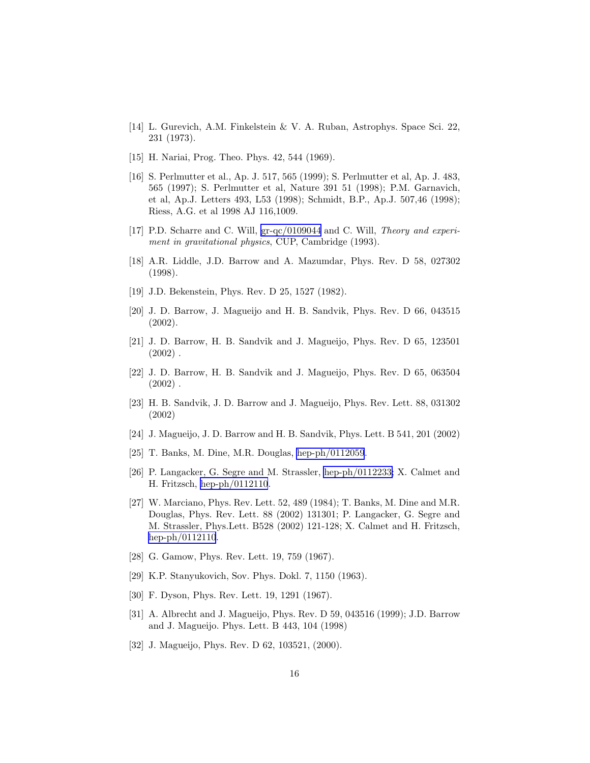- <span id="page-15-0"></span>[14] L. Gurevich, A.M. Finkelstein & V. A. Ruban, Astrophys. Space Sci. 22, 231 (1973).
- [15] H. Nariai, Prog. Theo. Phys. 42, 544 (1969).
- [16] S. Perlmutter et al., Ap. J. 517, 565 (1999); S. Perlmutter et al, Ap. J. 483, 565 (1997); S. Perlmutter et al, Nature 391 51 (1998); P.M. Garnavich, et al, Ap.J. Letters 493, L53 (1998); Schmidt, B.P., Ap.J. 507,46 (1998); Riess, A.G. et al 1998 AJ 116,1009.
- [17] P.D. Scharre and C. Will, [gr-qc/0109044](http://arxiv.org/abs/gr-qc/0109044) and C. Will, Theory and experiment in gravitational physics, CUP, Cambridge (1993).
- [18] A.R. Liddle, J.D. Barrow and A. Mazumdar, Phys. Rev. D 58, 027302 (1998).
- [19] J.D. Bekenstein, Phys. Rev. D 25, 1527 (1982).
- [20] J. D. Barrow, J. Magueijo and H. B. Sandvik, Phys. Rev. D 66, 043515 (2002).
- [21] J. D. Barrow, H. B. Sandvik and J. Magueijo, Phys. Rev. D 65, 123501  $(2002)$ .
- [22] J. D. Barrow, H. B. Sandvik and J. Magueijo, Phys. Rev. D 65, 063504  $(2002)$ .
- [23] H. B. Sandvik, J. D. Barrow and J. Magueijo, Phys. Rev. Lett. 88, 031302 (2002)
- [24] J. Magueijo, J. D. Barrow and H. B. Sandvik, Phys. Lett. B 541, 201 (2002)
- [25] T. Banks, M. Dine, M.R. Douglas, [hep-ph/0112059](http://arxiv.org/abs/hep-ph/0112059).
- [26] P. Langacker, G. Segre and M. Strassler, [hep-ph/0112233;](http://arxiv.org/abs/hep-ph/0112233) X. Calmet and H. Fritzsch, [hep-ph/0112110](http://arxiv.org/abs/hep-ph/0112110).
- [27] W. Marciano, Phys. Rev. Lett. 52, 489 (1984); T. Banks, M. Dine and M.R. Douglas, Phys. Rev. Lett. 88 (2002) 131301; P. Langacker, G. Segre and M. Strassler, Phys.Lett. B528 (2002) 121-128; X. Calmet and H. Fritzsch, [hep-ph/0112110](http://arxiv.org/abs/hep-ph/0112110).
- [28] G. Gamow, Phys. Rev. Lett. 19, 759 (1967).
- [29] K.P. Stanyukovich, Sov. Phys. Dokl. 7, 1150 (1963).
- [30] F. Dyson, Phys. Rev. Lett. 19, 1291 (1967).
- [31] A. Albrecht and J. Magueijo, Phys. Rev. D 59, 043516 (1999); J.D. Barrow and J. Magueijo. Phys. Lett. B 443, 104 (1998)
- [32] J. Magueijo, Phys. Rev. D 62, 103521, (2000).